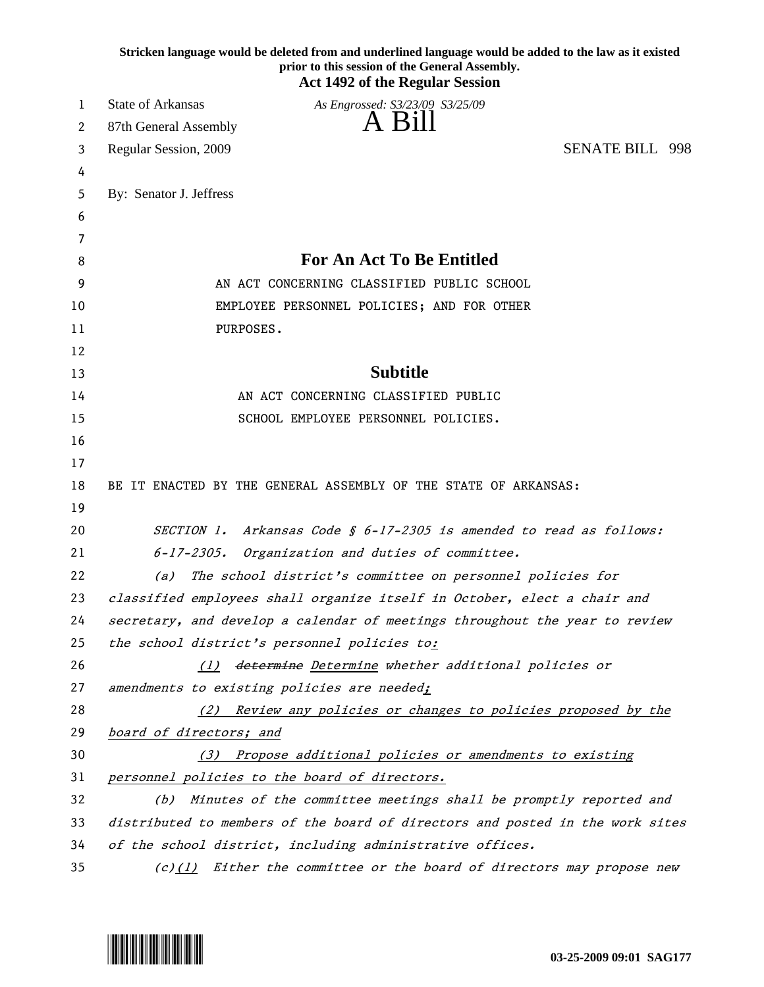|    | Stricken language would be deleted from and underlined language would be added to the law as it existed<br>prior to this session of the General Assembly.<br><b>Act 1492 of the Regular Session</b> |
|----|-----------------------------------------------------------------------------------------------------------------------------------------------------------------------------------------------------|
| 1  | State of Arkansas<br>As Engrossed: S3/23/09 S3/25/09                                                                                                                                                |
| 2  | A Bill<br>87th General Assembly                                                                                                                                                                     |
| 3  | <b>SENATE BILL 998</b><br>Regular Session, 2009                                                                                                                                                     |
| 4  |                                                                                                                                                                                                     |
| 5  | By: Senator J. Jeffress                                                                                                                                                                             |
| 6  |                                                                                                                                                                                                     |
| 7  |                                                                                                                                                                                                     |
| 8  | <b>For An Act To Be Entitled</b>                                                                                                                                                                    |
| 9  | AN ACT CONCERNING CLASSIFIED PUBLIC SCHOOL                                                                                                                                                          |
| 10 | EMPLOYEE PERSONNEL POLICIES; AND FOR OTHER                                                                                                                                                          |
| 11 | PURPOSES.                                                                                                                                                                                           |
| 12 |                                                                                                                                                                                                     |
| 13 | <b>Subtitle</b>                                                                                                                                                                                     |
| 14 | AN ACT CONCERNING CLASSIFIED PUBLIC                                                                                                                                                                 |
| 15 | SCHOOL EMPLOYEE PERSONNEL POLICIES.                                                                                                                                                                 |
| 16 |                                                                                                                                                                                                     |
| 17 |                                                                                                                                                                                                     |
| 18 | BE IT ENACTED BY THE GENERAL ASSEMBLY OF THE STATE OF ARKANSAS:                                                                                                                                     |
| 19 |                                                                                                                                                                                                     |
| 20 | Arkansas Code § 6-17-2305 is amended to read as follows:<br><i>SECTION 1.</i>                                                                                                                       |
| 21 | $6 - 17 - 2305$ .<br>Organization and duties of committee.                                                                                                                                          |
| 22 | The school district's committee on personnel policies for<br>(a)                                                                                                                                    |
| 23 | classified employees shall organize itself in October, elect a chair and                                                                                                                            |
| 24 | secretary, and develop a calendar of meetings throughout the year to review                                                                                                                         |
| 25 | the school district's personnel policies to:                                                                                                                                                        |
| 26 | (1) determine Determine whether additional policies or                                                                                                                                              |
| 27 | amendments to existing policies are needed;                                                                                                                                                         |
| 28 | (2) Review any policies or changes to policies proposed by the                                                                                                                                      |
| 29 | board of directors; and                                                                                                                                                                             |
| 30 | (3) Propose additional policies or amendments to existing                                                                                                                                           |
| 31 | personnel policies to the board of directors.                                                                                                                                                       |
| 32 | Minutes of the committee meetings shall be promptly reported and<br>(b)                                                                                                                             |
| 33 | distributed to members of the board of directors and posted in the work sites                                                                                                                       |
| 34 | of the school district, including administrative offices.                                                                                                                                           |
| 35 | $(c)(1)$ Either the committee or the board of directors may propose new                                                                                                                             |